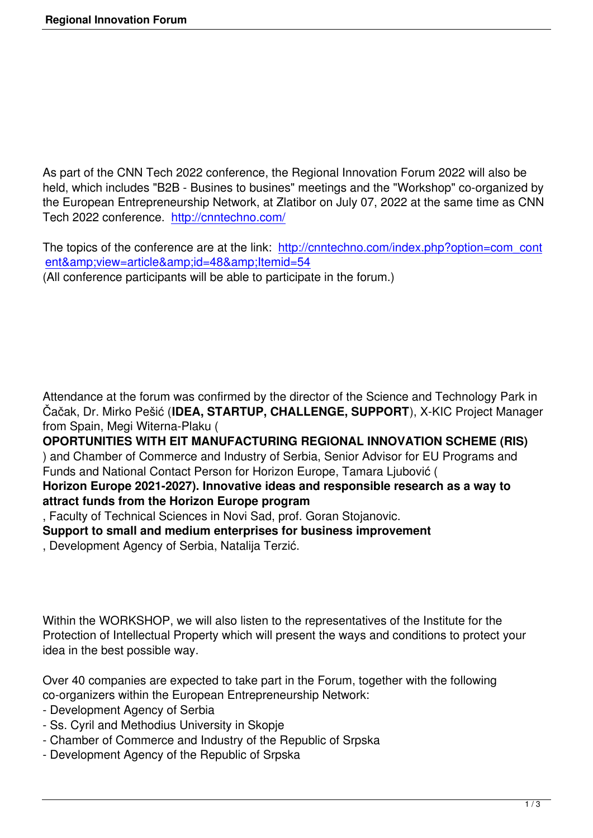As part of the CNN Tech 2022 conference, the Regional Innovation Forum 2022 will also be held, which includes "B2B - Busines to busines" meetings and the "Workshop" co-organized by the European Entrepreneurship Network, at Zlatibor on July 07, 2022 at the same time as CNN Tech 2022 conference. http://cnntechno.com/

The topics of the conference are at the link: http://cnntechno.com/index.php?option=com\_cont ent&view=article&id=48&Itemid=54 (All conference participants will be able to participate in the forum.)

Attendance at the forum was confirmed by the director of the Science and Technology Park in Čačak, Dr. Mirko Pešić (**IDEA, STARTUP, CHALLENGE, SUPPORT**), X-KIC Project Manager from Spain, Megi Witerna-Plaku (

**OPORTUNITIES WITH EIT MANUFACTURING REGIONAL INNOVATION SCHEME (RIS)** ) and Chamber of Commerce and Industry of Serbia, Senior Advisor for EU Programs and Funds and National Contact Person for Horizon Europe, Tamara Ljubović ( **Horizon Europe 2021-2027). Innovative ideas and responsible research as a way to**

# **attract funds from the Horizon Europe program**

, Faculty of Technical Sciences in Novi Sad, prof. Goran Stojanovic.

**Support to small and medium enterprises for business improvement**

, Development Agency of Serbia, Natalija Terzić.

Within the WORKSHOP, we will also listen to the representatives of the Institute for the Protection of Intellectual Property which will present the ways and conditions to protect your idea in the best possible way.

Over 40 companies are expected to take part in the Forum, together with the following co-organizers within the European Entrepreneurship Network:

- Development Agency of Serbia
- Ss. Cyril and Methodius University in Skopje
- Chamber of Commerce and Industry of the Republic of Srpska
- Development Agency of the Republic of Srpska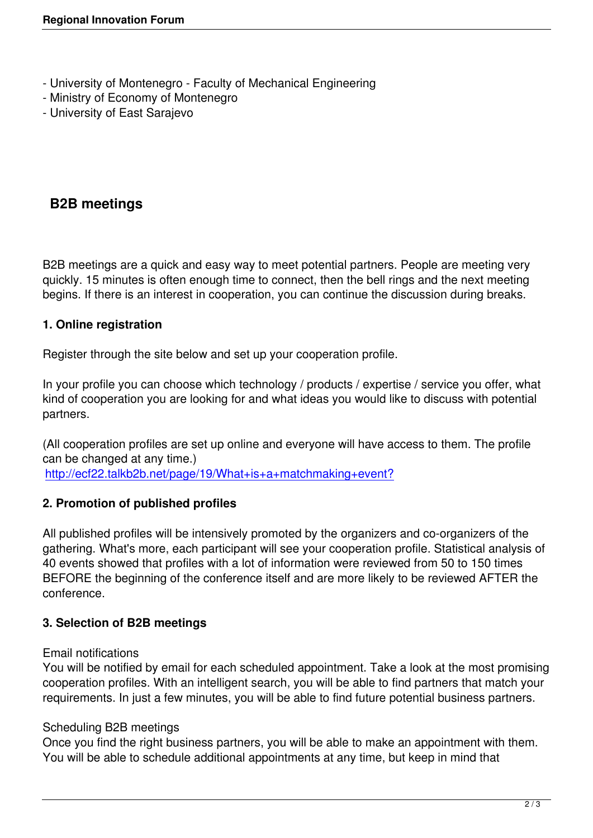- University of Montenegro Faculty of Mechanical Engineering
- Ministry of Economy of Montenegro
- University of East Sarajevo

# **B2B meetings**

B2B meetings are a quick and easy way to meet potential partners. People are meeting very quickly. 15 minutes is often enough time to connect, then the bell rings and the next meeting begins. If there is an interest in cooperation, you can continue the discussion during breaks.

# **1. Online registration**

Register through the site below and set up your cooperation profile.

In your profile you can choose which technology / products / expertise / service you offer, what kind of cooperation you are looking for and what ideas you would like to discuss with potential partners.

(All cooperation profiles are set up online and everyone will have access to them. The profile can be changed at any time.) http://ecf22.talkb2b.net/page/19/What+is+a+matchmaking+event?

### **2. Promotion of published profiles**

[All published profiles will be intensively promoted by the organizers](http://ecf22.talkb2b.net/page/19/What+is+a+matchmaking+event) and co-organizers of the gathering. What's more, each participant will see your cooperation profile. Statistical analysis of 40 events showed that profiles with a lot of information were reviewed from 50 to 150 times BEFORE the beginning of the conference itself and are more likely to be reviewed AFTER the conference.

### **3. Selection of B2B meetings**

### Email notifications

You will be notified by email for each scheduled appointment. Take a look at the most promising cooperation profiles. With an intelligent search, you will be able to find partners that match your requirements. In just a few minutes, you will be able to find future potential business partners.

### Scheduling B2B meetings

Once you find the right business partners, you will be able to make an appointment with them. You will be able to schedule additional appointments at any time, but keep in mind that